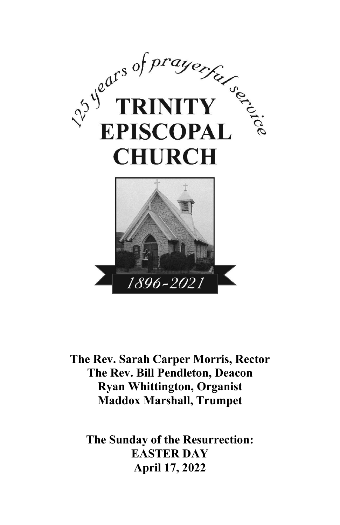

**The Rev. Sarah Carper Morris, Rector The Rev. Bill Pendleton, Deacon Ryan Whittington, Organist Maddox Marshall, Trumpet**

**The Sunday of the Resurrection: EASTER DAY April 17, 2022**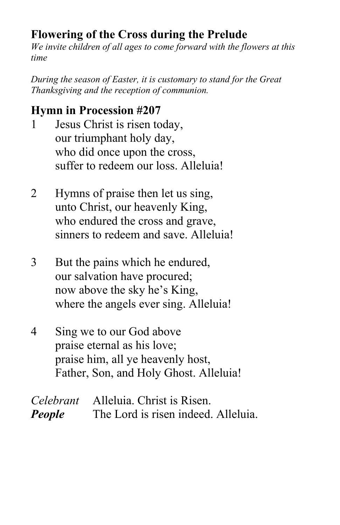# **Flowering of the Cross during the Prelude**

*We invite children of all ages to come forward with the flowers at this time*

*During the season of Easter, it is customary to stand for the Great Thanksgiving and the reception of communion.*

## **Hymn in Procession #207**

- 1 Jesus Christ is risen today, our triumphant holy day, who did once upon the cross, suffer to redeem our loss. Alleluia!
- 2 Hymns of praise then let us sing, unto Christ, our heavenly King, who endured the cross and grave, sinners to redeem and save. Alleluia!
- 3 But the pains which he endured, our salvation have procured; now above the sky he's King, where the angels ever sing. Alleluia!
- 4 Sing we to our God above praise eternal as his love; praise him, all ye heavenly host, Father, Son, and Holy Ghost. Alleluia!

|               | <i>Celebrant</i> Alleluia. Christ is Risen. |
|---------------|---------------------------------------------|
| <b>People</b> | The Lord is risen indeed. Alleluia.         |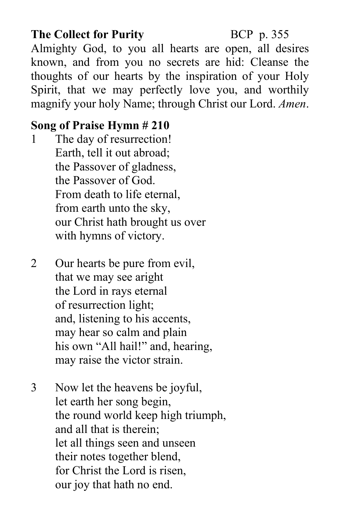## **The Collect for Purity BCP p. 355**

Almighty God, to you all hearts are open, all desires known, and from you no secrets are hid: Cleanse the thoughts of our hearts by the inspiration of your Holy Spirit, that we may perfectly love you, and worthily magnify your holy Name; through Christ our Lord. *Amen*.

### **Song of Praise Hymn # 210**

- 1 The day of resurrection! Earth, tell it out abroad; the Passover of gladness, the Passover of God. From death to life eternal, from earth unto the sky, our Christ hath brought us over with hymns of victory.
- 2 Our hearts be pure from evil, that we may see aright the Lord in rays eternal of resurrection light; and, listening to his accents, may hear so calm and plain his own "All hail!" and, hearing, may raise the victor strain.
- 3 Now let the heavens be joyful, let earth her song begin, the round world keep high triumph, and all that is therein; let all things seen and unseen their notes together blend, for Christ the Lord is risen, our joy that hath no end.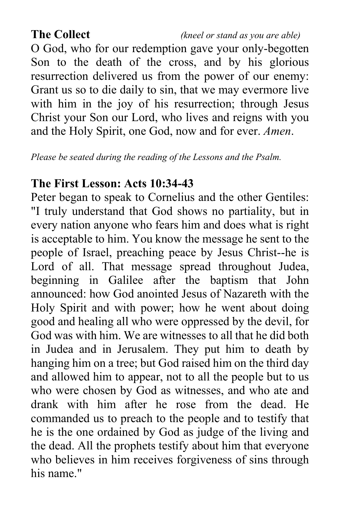O God, who for our redemption gave your only-begotten Son to the death of the cross, and by his glorious resurrection delivered us from the power of our enemy: Grant us so to die daily to sin, that we may evermore live with him in the joy of his resurrection; through Jesus Christ your Son our Lord, who lives and reigns with you and the Holy Spirit, one God, now and for ever. *Amen*.

*Please be seated during the reading of the Lessons and the Psalm.*

#### **The First Lesson: Acts 10:34-43**

Peter began to speak to Cornelius and the other Gentiles: "I truly understand that God shows no partiality, but in every nation anyone who fears him and does what is right is acceptable to him. You know the message he sent to the people of Israel, preaching peace by Jesus Christ--he is Lord of all. That message spread throughout Judea, beginning in Galilee after the baptism that John announced: how God anointed Jesus of Nazareth with the Holy Spirit and with power; how he went about doing good and healing all who were oppressed by the devil, for God was with him. We are witnesses to all that he did both in Judea and in Jerusalem. They put him to death by hanging him on a tree; but God raised him on the third day and allowed him to appear, not to all the people but to us who were chosen by God as witnesses, and who ate and drank with him after he rose from the dead. He commanded us to preach to the people and to testify that he is the one ordained by God as judge of the living and the dead. All the prophets testify about him that everyone who believes in him receives forgiveness of sins through his name."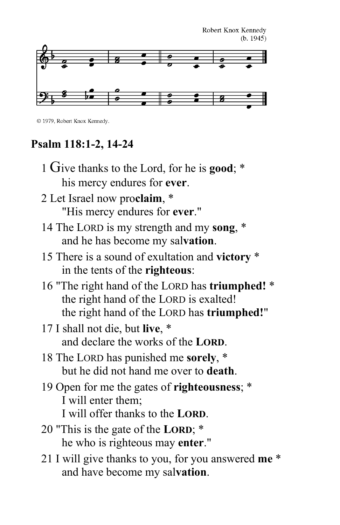

 $\odot$  1979, Robert Knox Kennedy.

# **Psalm 118:1-2, 14-24**

| 1 Give thanks to the Lord, for he is good; *                                                                                                    |
|-------------------------------------------------------------------------------------------------------------------------------------------------|
| his mercy endures for ever.                                                                                                                     |
| 2 Let Israel now proclaim, *                                                                                                                    |
| "His mercy endures for ever."                                                                                                                   |
| 14 The LORD is my strength and my song, *<br>and he has become my salvation.                                                                    |
| 15 There is a sound of exultation and victory *<br>in the tents of the <b>righteous</b> :                                                       |
| 16 "The right hand of the LORD has triumphed! *<br>the right hand of the LORD is exalted!<br>the right hand of the LORD has <b>triumphed!</b> " |
| 17 I shall not die, but live, *<br>and declare the works of the LORD.                                                                           |
| 18 The LORD has punished me sorely, *<br>but he did not hand me over to death.                                                                  |
| 19 Open for me the gates of <b>righteousness</b> ; *<br>I will enter them;<br>I will offer thanks to the <b>LORD</b> .                          |
| 20 "This is the gate of the LORD; *<br>he who is righteous may enter."                                                                          |
| 21 I will give thanks to you, for you answered me *<br>and have become my salvation.                                                            |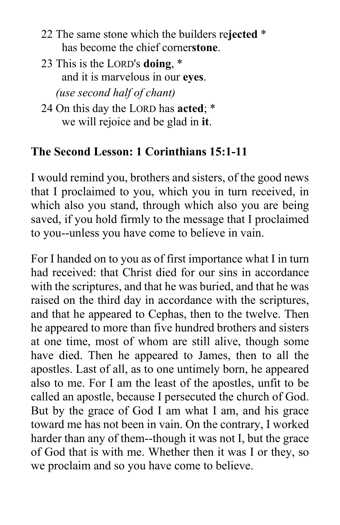- 22 The same stone which the builders re**jected** \* has become the chief corner**stone**.
- 23 This is the LORD's **doing**, \* and it is marvelous in our **eyes**.  *(use second half of chant)*
- 24 On this day the LORD has **acted**; \* we will rejoice and be glad in **it**.

## **The Second Lesson: 1 Corinthians 15:1-11**

I would remind you, brothers and sisters, of the good news that I proclaimed to you, which you in turn received, in which also you stand, through which also you are being saved, if you hold firmly to the message that I proclaimed to you--unless you have come to believe in vain.

For I handed on to you as of first importance what I in turn had received: that Christ died for our sins in accordance with the scriptures, and that he was buried, and that he was raised on the third day in accordance with the scriptures, and that he appeared to Cephas, then to the twelve. Then he appeared to more than five hundred brothers and sisters at one time, most of whom are still alive, though some have died. Then he appeared to James, then to all the apostles. Last of all, as to one untimely born, he appeared also to me. For I am the least of the apostles, unfit to be called an apostle, because I persecuted the church of God. But by the grace of God I am what I am, and his grace toward me has not been in vain. On the contrary, I worked harder than any of them--though it was not I, but the grace of God that is with me. Whether then it was I or they, so we proclaim and so you have come to believe.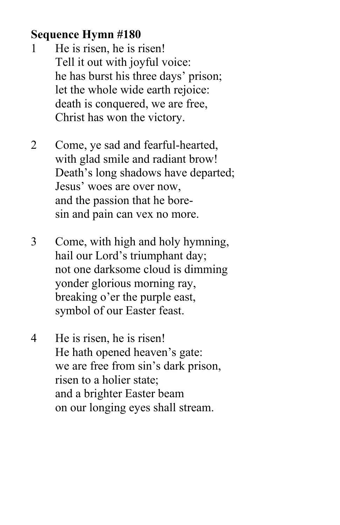## **Sequence Hymn #180**

- 1 He is risen, he is risen! Tell it out with joyful voice: he has burst his three days' prison; let the whole wide earth rejoice: death is conquered, we are free, Christ has won the victory.
- 2 Come, ye sad and fearful-hearted, with glad smile and radiant brow! Death's long shadows have departed; Jesus' woes are over now, and the passion that he boresin and pain can vex no more.
- 3 Come, with high and holy hymning, hail our Lord's triumphant day; not one darksome cloud is dimming yonder glorious morning ray, breaking o'er the purple east, symbol of our Easter feast.
- 4 He is risen, he is risen! He hath opened heaven's gate: we are free from sin's dark prison, risen to a holier state; and a brighter Easter beam on our longing eyes shall stream.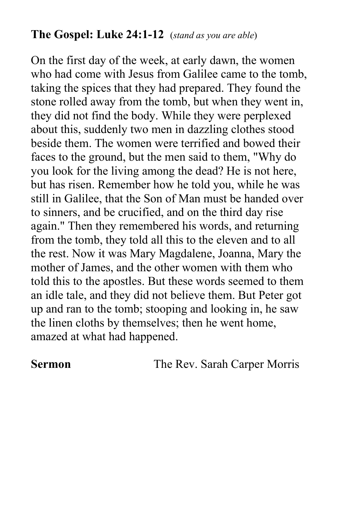### **The Gospel: Luke 24:1-12** (*stand as you are able*)

On the first day of the week, at early dawn, the women who had come with Jesus from Galilee came to the tomb, taking the spices that they had prepared. They found the stone rolled away from the tomb, but when they went in, they did not find the body. While they were perplexed about this, suddenly two men in dazzling clothes stood beside them. The women were terrified and bowed their faces to the ground, but the men said to them, "Why do you look for the living among the dead? He is not here, but has risen. Remember how he told you, while he was still in Galilee, that the Son of Man must be handed over to sinners, and be crucified, and on the third day rise again." Then they remembered his words, and returning from the tomb, they told all this to the eleven and to all the rest. Now it was Mary Magdalene, Joanna, Mary the mother of James, and the other women with them who told this to the apostles. But these words seemed to them an idle tale, and they did not believe them. But Peter got up and ran to the tomb; stooping and looking in, he saw the linen cloths by themselves; then he went home, amazed at what had happened.

**Sermon The Rev. Sarah Carper Morris**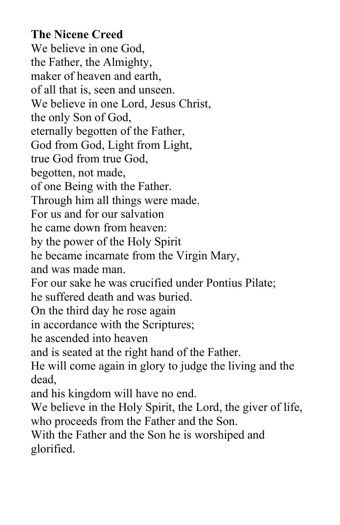## **The Nicene Creed**

We believe in one God, the Father, the Almighty, maker of heaven and earth, of all that is, seen and unseen. We believe in one Lord, Jesus Christ, the only Son of God, eternally begotten of the Father, God from God, Light from Light, true God from true God, begotten, not made, of one Being with the Father. Through him all things were made. For us and for our salvation he came down from heaven: by the power of the Holy Spirit he became incarnate from the Virgin Mary, and was made man. For our sake he was crucified under Pontius Pilate; he suffered death and was buried. On the third day he rose again in accordance with the Scriptures; he ascended into heaven and is seated at the right hand of the Father. He will come again in glory to judge the living and the dead, and his kingdom will have no end. We believe in the Holy Spirit, the Lord, the giver of life, who proceeds from the Father and the Son. With the Father and the Son he is worshiped and glorified.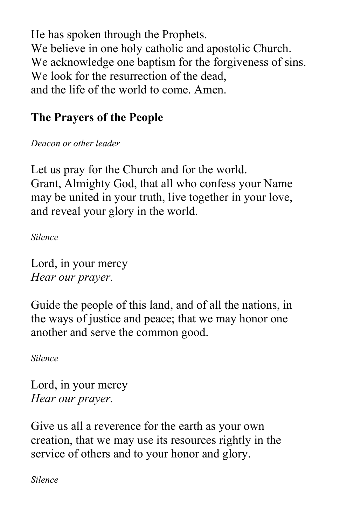He has spoken through the Prophets. We believe in one holy catholic and apostolic Church. We acknowledge one baptism for the forgiveness of sins. We look for the resurrection of the dead, and the life of the world to come. Amen.

# **The Prayers of the People**

*Deacon or other leader*

Let us pray for the Church and for the world. Grant, Almighty God, that all who confess your Name may be united in your truth, live together in your love, and reveal your glory in the world.

*Silence*

Lord, in your mercy *Hear our prayer.*

Guide the people of this land, and of all the nations, in the ways of justice and peace; that we may honor one another and serve the common good.

*Silence*

Lord, in your mercy *Hear our prayer.*

Give us all a reverence for the earth as your own creation, that we may use its resources rightly in the service of others and to your honor and glory.

*Silence*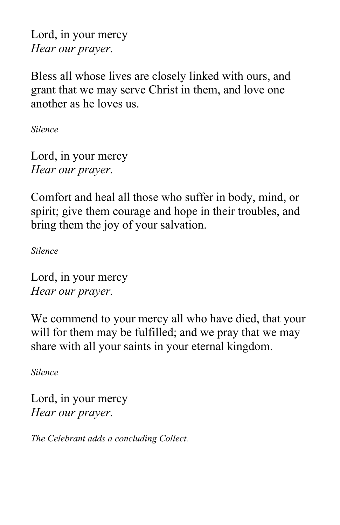Lord, in your mercy *Hear our prayer.*

Bless all whose lives are closely linked with ours, and grant that we may serve Christ in them, and love one another as he loves us.

*Silence*

Lord, in your mercy *Hear our prayer.*

Comfort and heal all those who suffer in body, mind, or spirit; give them courage and hope in their troubles, and bring them the joy of your salvation.

*Silence*

Lord, in your mercy *Hear our prayer.*

We commend to your mercy all who have died, that your will for them may be fulfilled; and we pray that we may share with all your saints in your eternal kingdom.

*Silence*

Lord, in your mercy *Hear our prayer.*

*The Celebrant adds a concluding Collect.*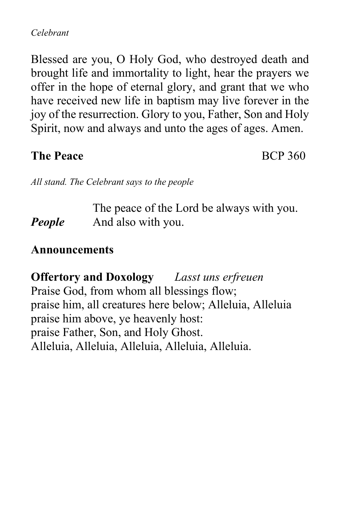#### *Celebrant*

Blessed are you, O Holy God, who destroyed death and brought life and immortality to light, hear the prayers we offer in the hope of eternal glory, and grant that we who have received new life in baptism may live forever in the joy of the resurrection. Glory to you, Father, Son and Holy Spirit, now and always and unto the ages of ages. Amen.

#### **The Peace** BCP 360

*All stand. The Celebrant says to the people*

The peace of the Lord be always with you. *People* And also with you.

#### **Announcements**

**Offertory and Doxology** *Lasst uns erfreuen*  Praise God, from whom all blessings flow; praise him, all creatures here below; Alleluia, Alleluia praise him above, ye heavenly host: praise Father, Son, and Holy Ghost. Alleluia, Alleluia, Alleluia, Alleluia, Alleluia.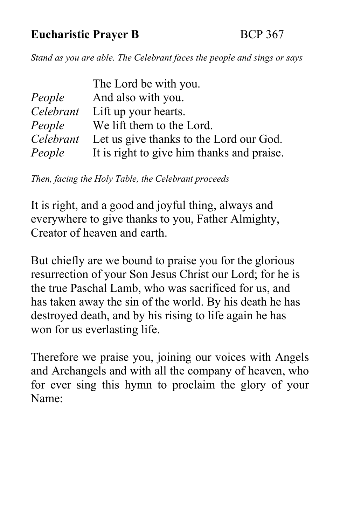## **Eucharistic Prayer B** BCP 367

*Stand as you are able. The Celebrant faces the people and sings or says*

| The Lord be with you.                      |
|--------------------------------------------|
| And also with you.                         |
| Lift up your hearts.                       |
| We lift them to the Lord.                  |
| Let us give thanks to the Lord our God.    |
| It is right to give him thanks and praise. |
|                                            |

*Then, facing the Holy Table, the Celebrant proceeds*

It is right, and a good and joyful thing, always and everywhere to give thanks to you, Father Almighty, Creator of heaven and earth.

But chiefly are we bound to praise you for the glorious resurrection of your Son Jesus Christ our Lord; for he is the true Paschal Lamb, who was sacrificed for us, and has taken away the sin of the world. By his death he has destroyed death, and by his rising to life again he has won for us everlasting life.

Therefore we praise you, joining our voices with Angels and Archangels and with all the company of heaven, who for ever sing this hymn to proclaim the glory of your Name: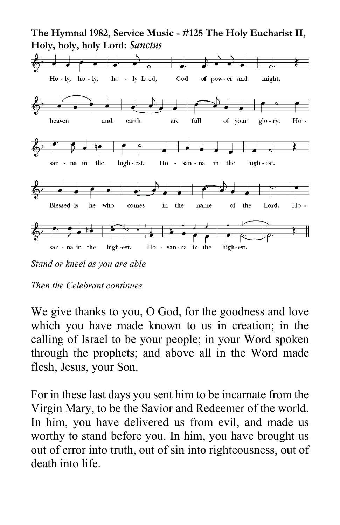

*Stand or kneel as you are able*

We give thanks to you, O God, for the goodness and love which you have made known to us in creation; in the calling of Israel to be your people; in your Word spoken through the prophets; and above all in the Word made flesh, Jesus, your Son.

For in these last days you sent him to be incarnate from the Virgin Mary, to be the Savior and Redeemer of the world. In him, you have delivered us from evil, and made us worthy to stand before you. In him, you have brought us out of error into truth, out of sin into righteousness, out of death into life.

*Then the Celebrant continues*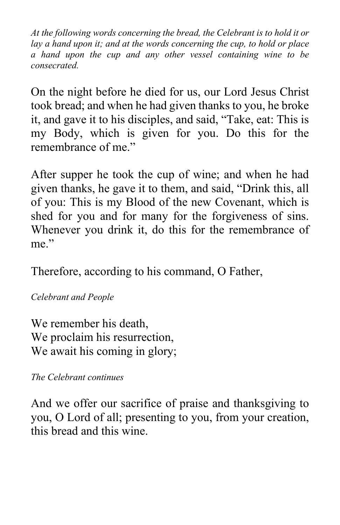*At the following words concerning the bread, the Celebrant is to hold it or lay a hand upon it; and at the words concerning the cup, to hold or place a hand upon the cup and any other vessel containing wine to be consecrated.*

On the night before he died for us, our Lord Jesus Christ took bread; and when he had given thanks to you, he broke it, and gave it to his disciples, and said, "Take, eat: This is my Body, which is given for you. Do this for the remembrance of me."

After supper he took the cup of wine; and when he had given thanks, he gave it to them, and said, "Drink this, all of you: This is my Blood of the new Covenant, which is shed for you and for many for the forgiveness of sins. Whenever you drink it, do this for the remembrance of me."

Therefore, according to his command, O Father,

*Celebrant and People*

We remember his death, We proclaim his resurrection, We await his coming in glory;

*The Celebrant continues*

And we offer our sacrifice of praise and thanksgiving to you, O Lord of all; presenting to you, from your creation, this bread and this wine.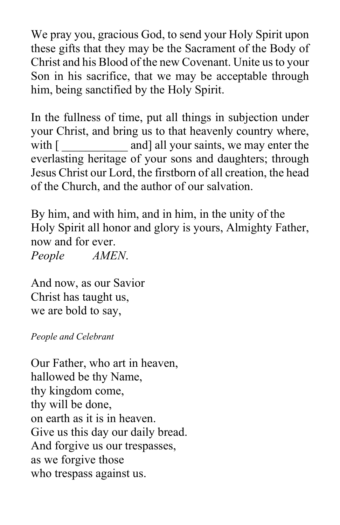We pray you, gracious God, to send your Holy Spirit upon these gifts that they may be the Sacrament of the Body of Christ and his Blood of the new Covenant. Unite us to your Son in his sacrifice, that we may be acceptable through him, being sanctified by the Holy Spirit.

In the fullness of time, put all things in subjection under your Christ, and bring us to that heavenly country where, with  $\lceil \frac{1}{2} \rceil$  and all your saints, we may enter the everlasting heritage of your sons and daughters; through Jesus Christ our Lord, the firstborn of all creation, the head of the Church, and the author of our salvation.

By him, and with him, and in him, in the unity of the Holy Spirit all honor and glory is yours, Almighty Father, now and for ever. *People AMEN*.

And now, as our Savior Christ has taught us, we are bold to say,

*People and Celebrant*

Our Father, who art in heaven, hallowed be thy Name, thy kingdom come, thy will be done, on earth as it is in heaven. Give us this day our daily bread. And forgive us our trespasses, as we forgive those who trespass against us.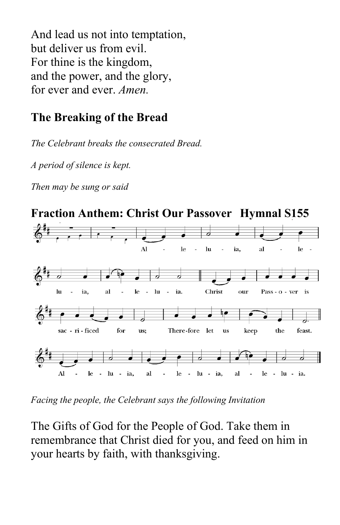And lead us not into temptation, but deliver us from evil. For thine is the kingdom, and the power, and the glory, for ever and ever. *Amen.*

## **The Breaking of the Bread**

*The Celebrant breaks the consecrated Bread.*

*A period of silence is kept.*

*Then may be sung or said*



*Facing the people, the Celebrant says the following Invitation*

The Gifts of God for the People of God. Take them in remembrance that Christ died for you, and feed on him in your hearts by faith, with thanksgiving.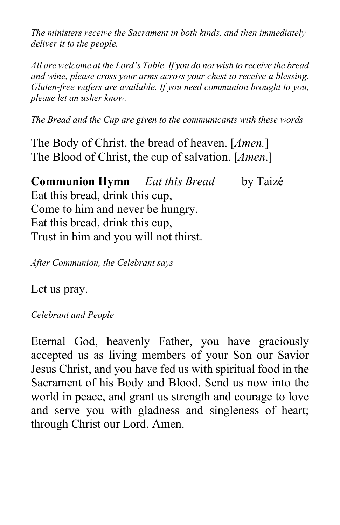*The ministers receive the Sacrament in both kinds, and then immediately deliver it to the people.*

*All are welcome at the Lord's Table. If you do not wish to receive the bread and wine, please cross your arms across your chest to receive a blessing. Gluten-free wafers are available. If you need communion brought to you, please let an usher know.*

*The Bread and the Cup are given to the communicants with these words*

The Body of Christ, the bread of heaven. [*Amen.*] The Blood of Christ, the cup of salvation. [*Amen*.]

**Communion Hymn** *Eat this Bread* by Taizé Eat this bread, drink this cup, Come to him and never be hungry. Eat this bread, drink this cup, Trust in him and you will not thirst.

*After Communion, the Celebrant says*

Let us pray.

*Celebrant and People*

Eternal God, heavenly Father, you have graciously accepted us as living members of your Son our Savior Jesus Christ, and you have fed us with spiritual food in the Sacrament of his Body and Blood. Send us now into the world in peace, and grant us strength and courage to love and serve you with gladness and singleness of heart; through Christ our Lord. Amen.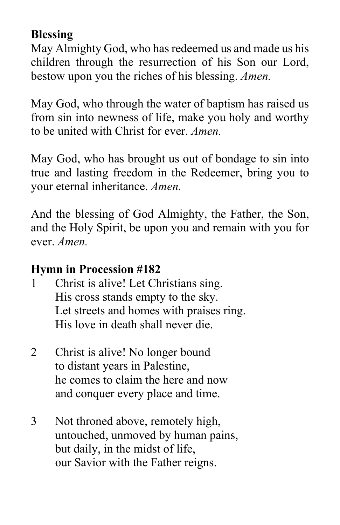## **Blessing**

May Almighty God, who has redeemed us and made us his children through the resurrection of his Son our Lord, bestow upon you the riches of his blessing. *Amen.*

May God, who through the water of baptism has raised us from sin into newness of life, make you holy and worthy to be united with Christ for ever. *Amen.*

May God, who has brought us out of bondage to sin into true and lasting freedom in the Redeemer, bring you to your eternal inheritance. *Amen.*

And the blessing of God Almighty, the Father, the Son, and the Holy Spirit, be upon you and remain with you for ever. *Amen.*

## **Hymn in Procession #182**

- 1 Christ is alive! Let Christians sing. His cross stands empty to the sky. Let streets and homes with praises ring. His love in death shall never die.
- 2 Christ is alive! No longer bound to distant years in Palestine, he comes to claim the here and now and conquer every place and time.
- 3 Not throned above, remotely high, untouched, unmoved by human pains, but daily, in the midst of life, our Savior with the Father reigns.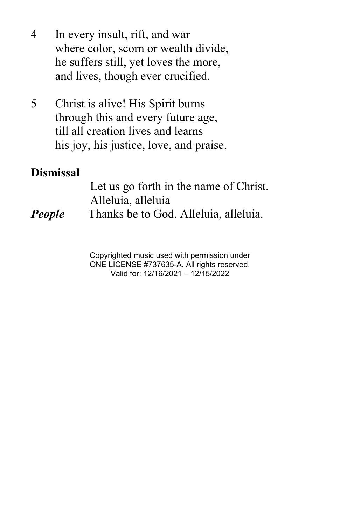- 4 In every insult, rift, and war where color, scorn or wealth divide, he suffers still, yet loves the more, and lives, though ever crucified.
- 5 Christ is alive! His Spirit burns through this and every future age, till all creation lives and learns his joy, his justice, love, and praise.

#### **Dismissal**

Let us go forth in the name of Christ. Alleluia, alleluia *People* Thanks be to God. Alleluia, alleluia.

> Copyrighted music used with permission under ONE LICENSE #737635-A. All rights reserved. Valid for: 12/16/2021 – 12/15/2022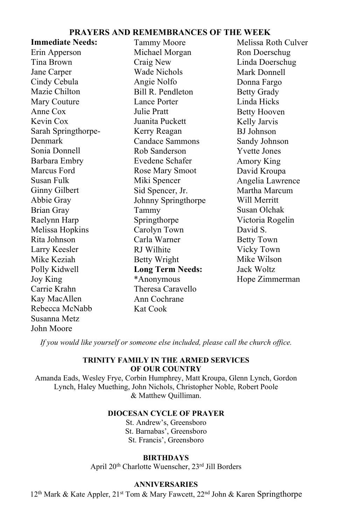#### **PRAYERS AND REMEMBRANCES OF THE WEEK**

| <b>Immediate Needs:</b> | Tammy Moore             | Melissa Roth Culver |
|-------------------------|-------------------------|---------------------|
| Erin Apperson           | Michael Morgan          | Ron Doerschug       |
| Tina Brown              | Craig New               | Linda Doerschug     |
| Jane Carper             | Wade Nichols            | Mark Donnell        |
| Cindy Cebula            | Angie Nolfo             | Donna Fargo         |
| Mazie Chilton           | Bill R. Pendleton       | <b>Betty Grady</b>  |
| Mary Couture            | Lance Porter            | Linda Hicks         |
| Anne Cox                | Julie Pratt             | <b>Betty Hooven</b> |
| Kevin Cox               | Juanita Puckett         | Kelly Jarvis        |
| Sarah Springthorpe-     | Kerry Reagan            | <b>BJ</b> Johnson   |
| Denmark                 | Candace Sammons         | Sandy Johnson       |
| Sonia Donnell           | Rob Sanderson           | <b>Yvette Jones</b> |
| Barbara Embry           | Evedene Schafer         | Amory King          |
| Marcus Ford             | Rose Mary Smoot         | David Kroupa        |
| Susan Fulk              | Miki Spencer            | Angelia Lawrence    |
| Ginny Gilbert           | Sid Spencer, Jr.        | Martha Marcum       |
| Abbie Gray              | Johnny Springthorpe     | Will Merritt        |
| <b>Brian Gray</b>       | Tammy                   | Susan Olchak        |
| Raelynn Harp            | Springthorpe            | Victoria Rogelin    |
| Melissa Hopkins         | Carolyn Town            | David S.            |
| Rita Johnson            | Carla Warner            | <b>Betty Town</b>   |
| Larry Keesler           | RJ Wilhite              | Vicky Town          |
| Mike Keziah             | Betty Wright            | Mike Wilson         |
| Polly Kidwell           | <b>Long Term Needs:</b> | Jack Woltz          |
| Joy King                | *Anonymous              | Hope Zimmerman      |
| Carrie Krahn            | Theresa Caravello       |                     |
| Kay MacAllen            | Ann Cochrane            |                     |
| Rebecca McNabb          | Kat Cook                |                     |
| Susanna Metz            |                         |                     |
| John Moore              |                         |                     |

*If you would like yourself or someone else included, please call the church office.*

#### **TRINITY FAMILY IN THE ARMED SERVICES OF OUR COUNTRY**

Amanda Eads, Wesley Frye, Corbin Humphrey, Matt Kroupa, Glenn Lynch, Gordon Lynch, Haley Muething, John Nichols, Christopher Noble, Robert Poole & Matthew Quilliman.

#### **DIOCESAN CYCLE OF PRAYER**

St. Andrew's, Greensboro St. Barnabas', Greensboro St. Francis', Greensboro

#### **BIRTHDAYS**

April 20th Charlotte Wuenscher, 23rd Jill Borders

#### Jim Couture **ANNIVERSARIES**

12<sup>th</sup> Mark & Kate Appler, 21<sup>st</sup> Tom & Mary Fawcett, 22<sup>nd</sup> John & Karen Springthorpe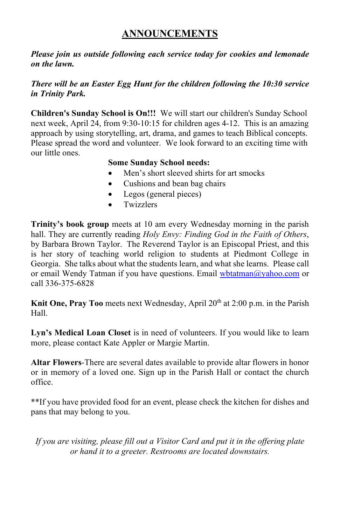#### **ANNOUNCEMENTS**

*Please join us outside following each service today for cookies and lemonade on the lawn.* 

#### *There will be an Easter Egg Hunt for the children following the 10:30 service in Trinity Park.*

**Children's Sunday School is On!!!** We will start our children's Sunday School next week, April 24, from 9:30-10:15 for children ages 4-12. This is an amazing approach by using storytelling, art, drama, and games to teach Biblical concepts. Please spread the word and volunteer. We look forward to an exciting time with our little ones.

#### **Some Sunday School needs:**

- Men's short sleeved shirts for art smocks
- Cushions and bean bag chairs
- Legos (general pieces)
- **Twizzlers**

**Trinity's book group** meets at 10 am every Wednesday morning in the parish hall. They are currently reading *Holy Envy: Finding God in the Faith of Others*, by Barbara Brown Taylor. The Reverend Taylor is an Episcopal Priest, and this is her story of teaching world religion to students at Piedmont College in Georgia. She talks about what the students learn, and what she learns. Please call or email Wendy Tatman if you have questions. Email [wbtatman@yahoo.com](mailto:wbtatman@yahoo.com) or call 336-375-6828

**Knit One, Pray Too** meets next Wednesday, April 20<sup>th</sup> at 2:00 p.m. in the Parish Hall.

Lyn's Medical Loan Closet is in need of volunteers. If you would like to learn more, please contact Kate Appler or Margie Martin.

**Altar Flowers**-There are several dates available to provide altar flowers in honor or in memory of a loved one. Sign up in the Parish Hall or contact the church office.

\*\*If you have provided food for an event, please check the kitchen for dishes and pans that may belong to you.

*If you are visiting, please fill out a Visitor Card and put it in the offering plate or hand it to a greeter. Restrooms are located downstairs.*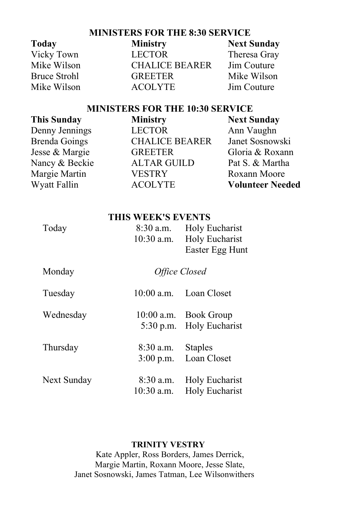#### **MINISTERS FOR THE 8:30 SERVICE**

| <b>Today</b> | <b>Ministry</b>       | <b>Next Sunday</b> |
|--------------|-----------------------|--------------------|
| Vicky Town   | <b>LECTOR</b>         | Theresa Gray       |
| Mike Wilson  | <b>CHALICE BEARER</b> | Jim Couture        |
| Bruce Strohl | <b>GREETER</b>        | Mike Wilson        |
| Mike Wilson  | <b>ACOLYTE</b>        | Jim Couture        |

#### **MINISTERS FOR THE 10:30 SERVICE**

| <b>This Sunday</b>   | <b>Ministry</b>       | <b>Next Sunday</b>      |
|----------------------|-----------------------|-------------------------|
| Denny Jennings       | <b>LECTOR</b>         | Ann Vaughn              |
| <b>Brenda Goings</b> | <b>CHALICE BEARER</b> | Janet Sosnowski         |
| Jesse & Margie       | <b>GREETER</b>        | Gloria & Roxann         |
| Nancy & Beckie       | <b>ALTAR GUILD</b>    | Pat S. & Martha         |
| Margie Martin        | <b>VESTRY</b>         | Roxann Moore            |
| Wyatt Fallin         | <b>ACOLYTE</b>        | <b>Volunteer Needed</b> |
|                      |                       |                         |

|  | THIS WEEK'S EVENTS |
|--|--------------------|
|  |                    |

| Today  | $10:30$ a.m. | 8:30 a.m. Holy Eucharist<br><b>Holy Eucharist</b><br>Easter Egg Hunt |
|--------|--------------|----------------------------------------------------------------------|
| Monday |              | Office Closed                                                        |

| Tuesday     |           | 10:00 a.m. Loan Closet                            |
|-------------|-----------|---------------------------------------------------|
| Wednesday   |           | 10:00 a.m. Book Group<br>5:30 p.m. Holy Eucharist |
| Thursday    | 8:30 a.m. | <b>Staples</b><br>3:00 p.m. Loan Closet           |
| Next Sunday | 8:30 a.m. | Holy Eucharist<br>10:30 a.m. Holy Eucharist       |

#### **TRINITY VESTRY**

Kate Appler, Ross Borders, James Derrick, Margie Martin, Roxann Moore, Jesse Slate, Janet Sosnowski, James Tatman, Lee Wilsonwithers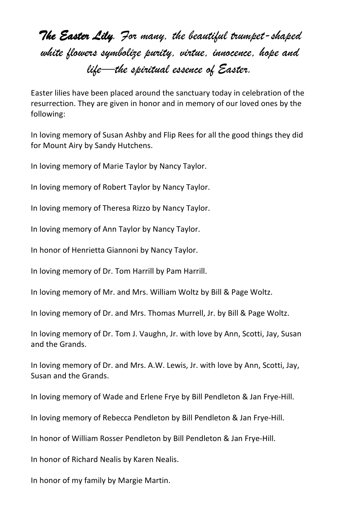*The Easter Lily. For many, the beautiful trumpet-shaped white flowers symbolize purity, virtue, innocence, hope and life—the spiritual essence of Easter.*

Easter lilies have been placed around the sanctuary today in celebration of the resurrection. They are given in honor and in memory of our loved ones by the following:

In loving memory of Susan Ashby and Flip Rees for all the good things they did for Mount Airy by Sandy Hutchens.

In loving memory of Marie Taylor by Nancy Taylor.

In loving memory of Robert Taylor by Nancy Taylor.

In loving memory of Theresa Rizzo by Nancy Taylor.

In loving memory of Ann Taylor by Nancy Taylor.

In honor of Henrietta Giannoni by Nancy Taylor.

In loving memory of Dr. Tom Harrill by Pam Harrill.

In loving memory of Mr. and Mrs. William Woltz by Bill & Page Woltz.

In loving memory of Dr. and Mrs. Thomas Murrell, Jr. by Bill & Page Woltz.

In loving memory of Dr. Tom J. Vaughn, Jr. with love by Ann, Scotti, Jay, Susan and the Grands.

In loving memory of Dr. and Mrs. A.W. Lewis, Jr. with love by Ann, Scotti, Jay, Susan and the Grands.

In loving memory of Wade and Erlene Frye by Bill Pendleton & Jan Frye-Hill.

In loving memory of Rebecca Pendleton by Bill Pendleton & Jan Frye-Hill.

In honor of William Rosser Pendleton by Bill Pendleton & Jan Frye-Hill.

In honor of Richard Nealis by Karen Nealis.

In honor of my family by Margie Martin.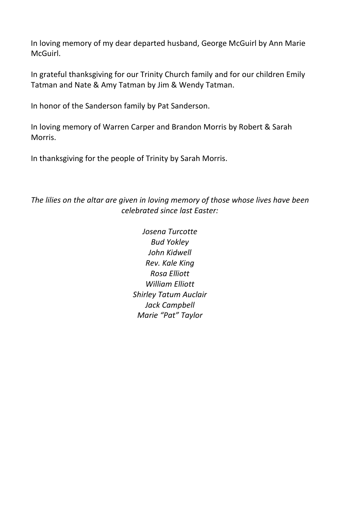In loving memory of my dear departed husband, George McGuirl by Ann Marie McGuirl.

In grateful thanksgiving for our Trinity Church family and for our children Emily Tatman and Nate & Amy Tatman by Jim & Wendy Tatman.

In honor of the Sanderson family by Pat Sanderson.

In loving memory of Warren Carper and Brandon Morris by Robert & Sarah Morris.

In thanksgiving for the people of Trinity by Sarah Morris.

*The lilies on the altar are given in loving memory of those whose lives have been celebrated since last Easter:*

> *Josena Turcotte Bud Yokley John Kidwell Rev. Kale King Rosa Elliott William Elliott Shirley Tatum Auclair Jack Campbell Marie "Pat" Taylor*